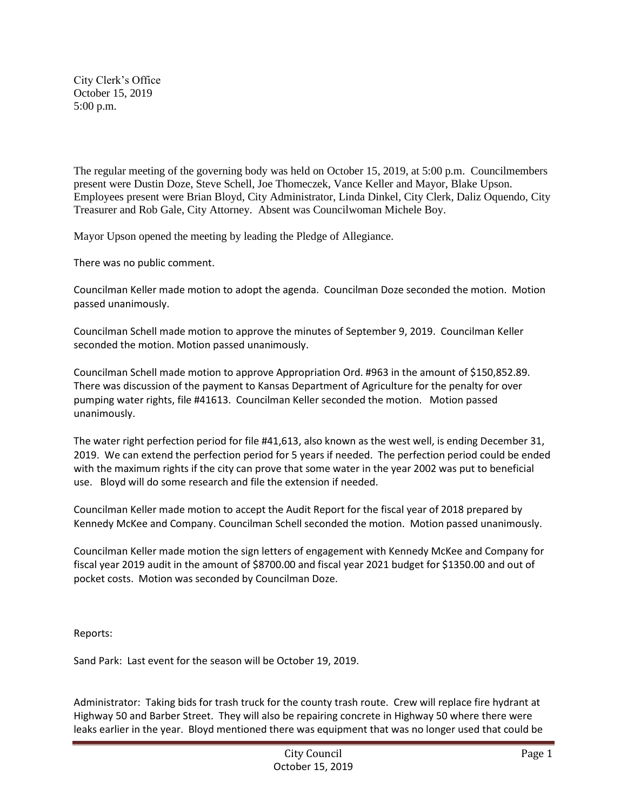City Clerk's Office October 15, 2019 5:00 p.m.

The regular meeting of the governing body was held on October 15, 2019, at 5:00 p.m. Councilmembers present were Dustin Doze, Steve Schell, Joe Thomeczek, Vance Keller and Mayor, Blake Upson. Employees present were Brian Bloyd, City Administrator, Linda Dinkel, City Clerk, Daliz Oquendo, City Treasurer and Rob Gale, City Attorney. Absent was Councilwoman Michele Boy.

Mayor Upson opened the meeting by leading the Pledge of Allegiance.

There was no public comment.

Councilman Keller made motion to adopt the agenda. Councilman Doze seconded the motion. Motion passed unanimously.

Councilman Schell made motion to approve the minutes of September 9, 2019. Councilman Keller seconded the motion. Motion passed unanimously.

Councilman Schell made motion to approve Appropriation Ord. #963 in the amount of \$150,852.89. There was discussion of the payment to Kansas Department of Agriculture for the penalty for over pumping water rights, file #41613. Councilman Keller seconded the motion. Motion passed unanimously.

The water right perfection period for file #41,613, also known as the west well, is ending December 31, 2019. We can extend the perfection period for 5 years if needed. The perfection period could be ended with the maximum rights if the city can prove that some water in the year 2002 was put to beneficial use. Bloyd will do some research and file the extension if needed.

Councilman Keller made motion to accept the Audit Report for the fiscal year of 2018 prepared by Kennedy McKee and Company. Councilman Schell seconded the motion. Motion passed unanimously.

Councilman Keller made motion the sign letters of engagement with Kennedy McKee and Company for fiscal year 2019 audit in the amount of \$8700.00 and fiscal year 2021 budget for \$1350.00 and out of pocket costs. Motion was seconded by Councilman Doze.

Reports:

Sand Park: Last event for the season will be October 19, 2019.

Administrator: Taking bids for trash truck for the county trash route. Crew will replace fire hydrant at Highway 50 and Barber Street. They will also be repairing concrete in Highway 50 where there were leaks earlier in the year. Bloyd mentioned there was equipment that was no longer used that could be